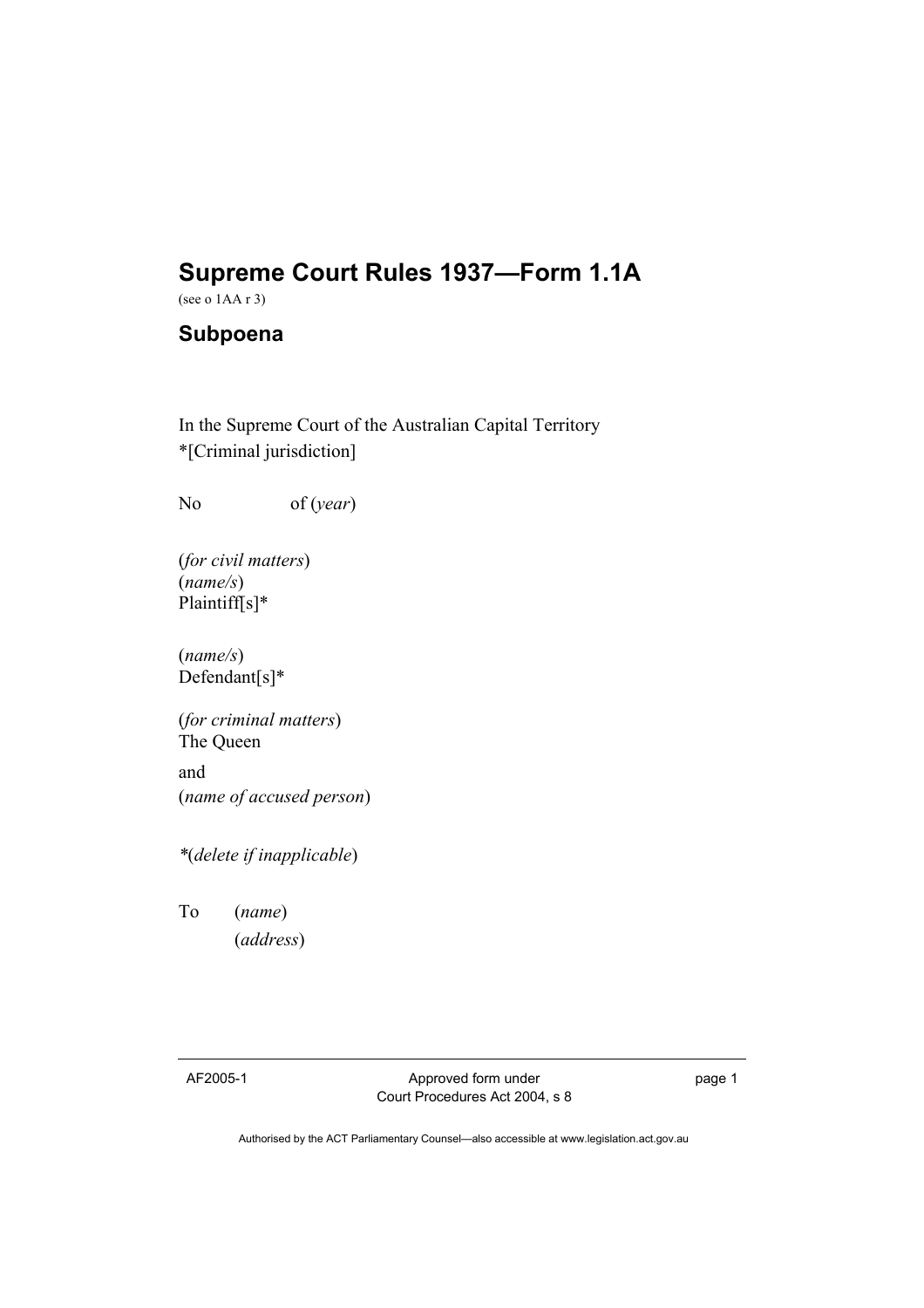# **Supreme Court Rules 1937—Form 1.1A**

(see o 1AA r 3)

# **Subpoena**

In the Supreme Court of the Australian Capital Territory \*[Criminal jurisdiction]

No of (*year*)

(*for civil matters*) (*name/s*) Plaintiff[s]\*

(*name/s*) Defendant[s]\*

(*for criminal matters*) The Queen

and (*name of accused person*)

*\**(*delete if inapplicable*)

To (*name*) (*address*)

AF2005-1 Approved form under Court Procedures Act 2004, s 8 page 1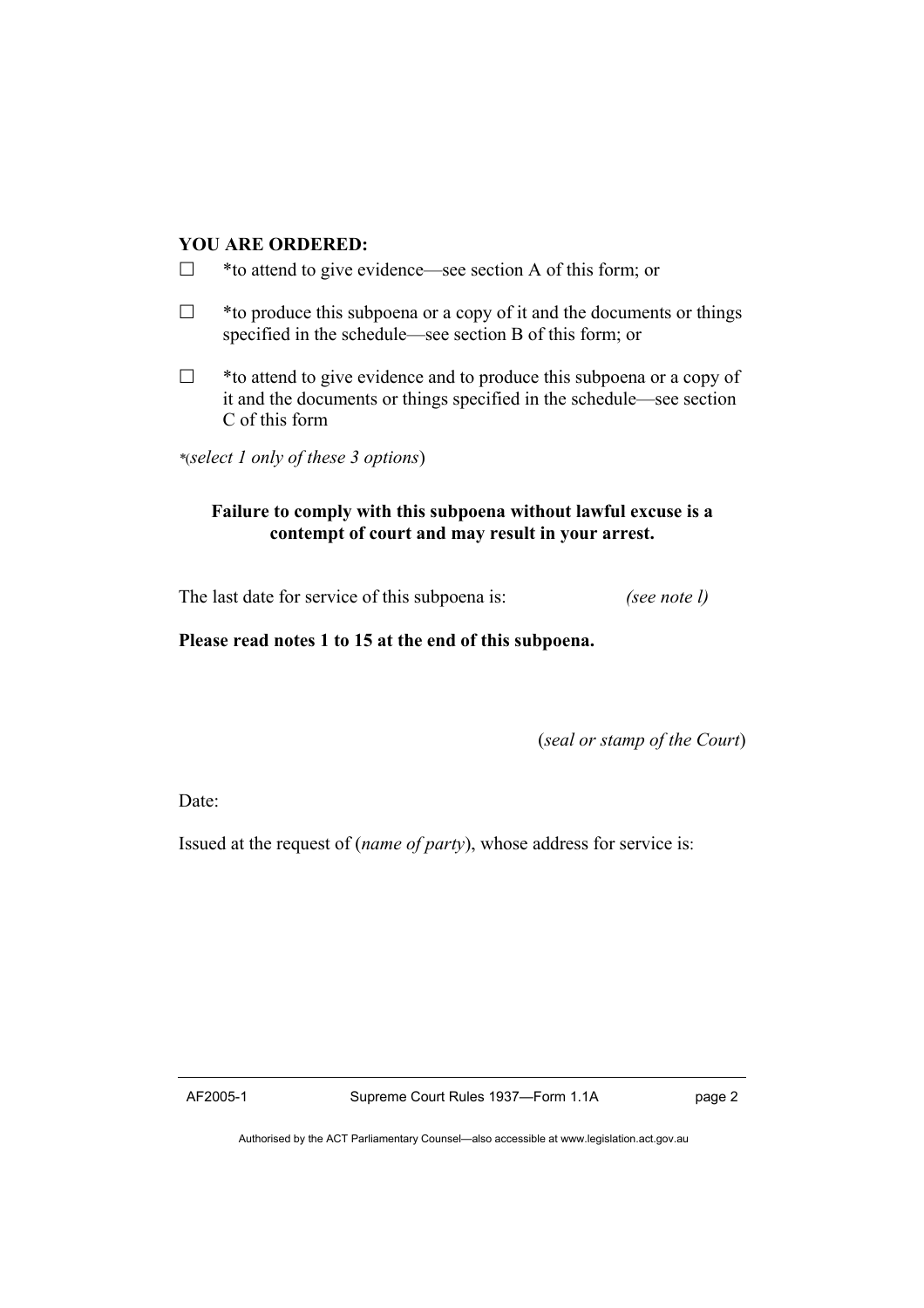# **YOU ARE ORDERED:**

- $\Box$  \* to attend to give evidence—see section A of this form; or
- $\Box$  \* to produce this subpoena or a copy of it and the documents or things specified in the schedule—see section B of this form; or
- $\Box$  \* to attend to give evidence and to produce this subpoena or a copy of it and the documents or things specified in the schedule—see section C of this form

*\**(*select 1 only of these 3 options*)

# **Failure to comply with this subpoena without lawful excuse is a contempt of court and may result in your arrest.**

The last date for service of this subpoena is: *(see note l)*

**Please read notes 1 to 15 at the end of this subpoena.** 

(*seal or stamp of the Court*)

Date:

Issued at the request of (*name of party*), whose address for service is: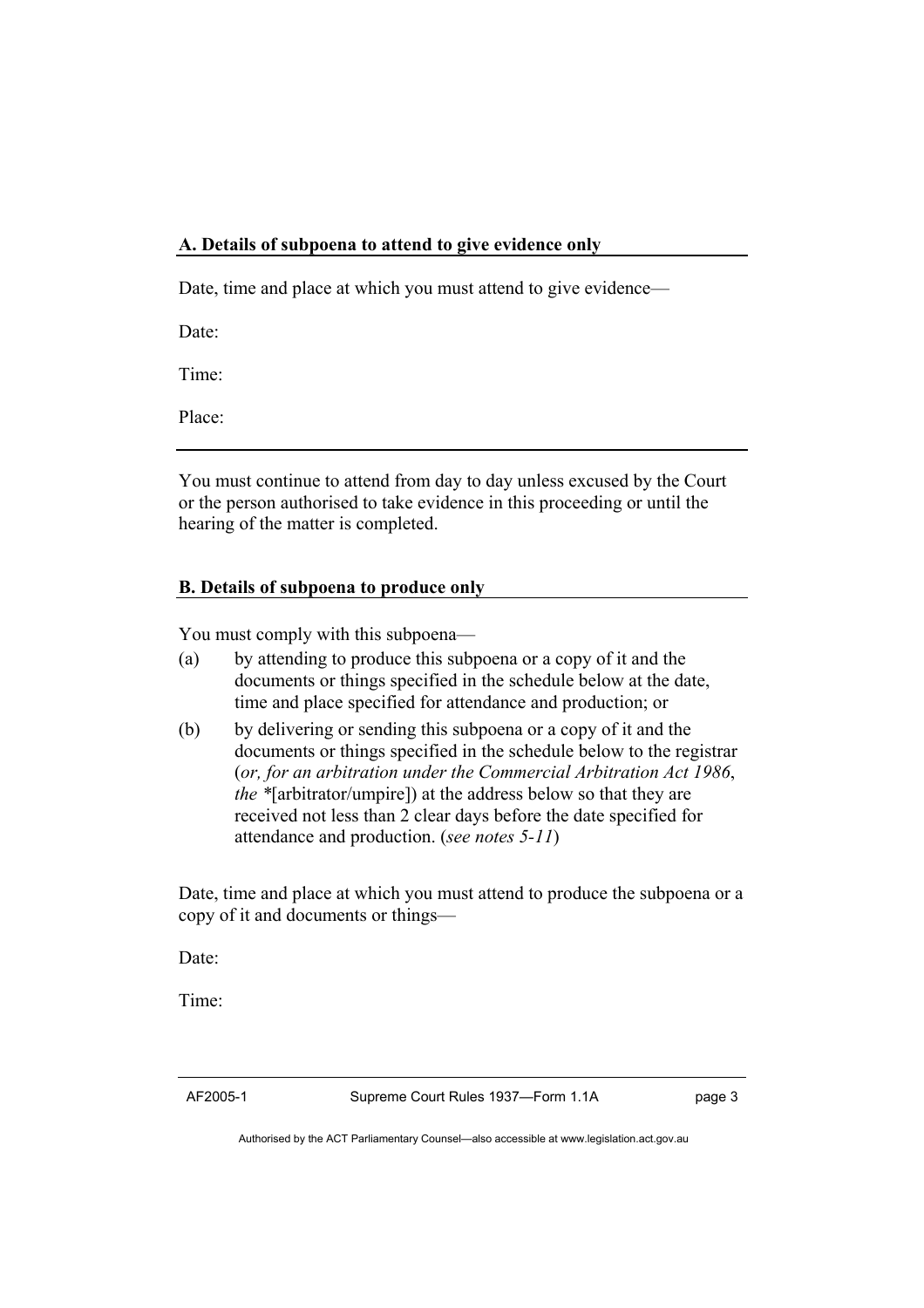#### **A. Details of subpoena to attend to give evidence only**

Date, time and place at which you must attend to give evidence—

Date:

Time:

Place:

You must continue to attend from day to day unless excused by the Court or the person authorised to take evidence in this proceeding or until the hearing of the matter is completed.

# **B. Details of subpoena to produce only**

You must comply with this subpoena—

- (a) by attending to produce this subpoena or a copy of it and the documents or things specified in the schedule below at the date, time and place specified for attendance and production; or
- (b) by delivering or sending this subpoena or a copy of it and the documents or things specified in the schedule below to the registrar (*or, for an arbitration under the Commercial Arbitration Act 1986*, *the \**[arbitrator/umpire]) at the address below so that they are received not less than 2 clear days before the date specified for attendance and production. (*see notes 5-11*)

Date, time and place at which you must attend to produce the subpoena or a copy of it and documents or things—

Date:

Time:

AF2005-1 Supreme Court Rules 1937—Form 1.1A page 3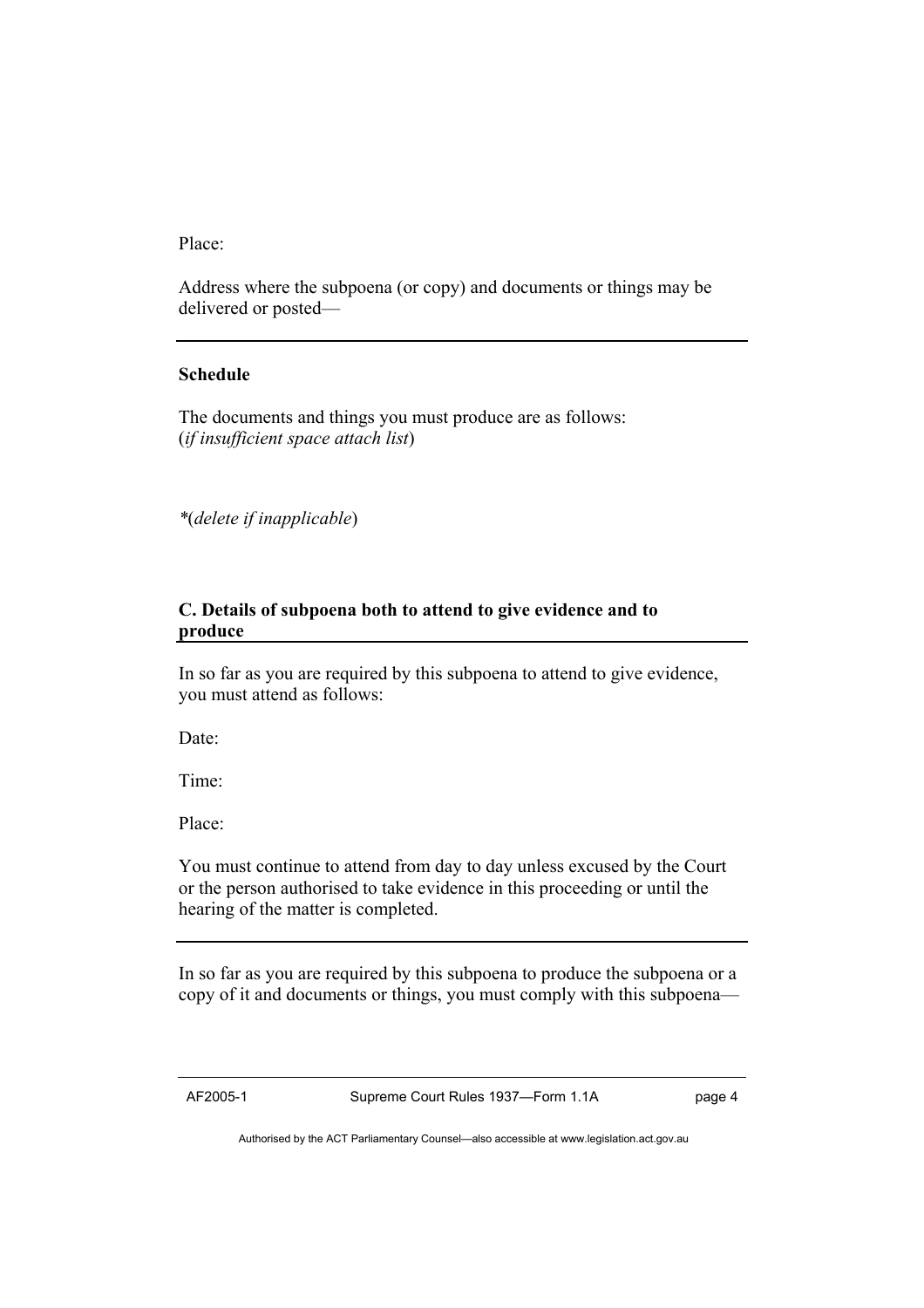Place:

Address where the subpoena (or copy) and documents or things may be delivered or posted—

#### **Schedule**

The documents and things you must produce are as follows: (*if insufficient space attach list*)

*\**(*delete if inapplicable*)

#### **C. Details of subpoena both to attend to give evidence and to produce**

In so far as you are required by this subpoena to attend to give evidence, you must attend as follows:

Date:

Time:

Place:

You must continue to attend from day to day unless excused by the Court or the person authorised to take evidence in this proceeding or until the hearing of the matter is completed.

In so far as you are required by this subpoena to produce the subpoena or a copy of it and documents or things, you must comply with this subpoena—

AF2005-1 Supreme Court Rules 1937—Form 1.1A page 4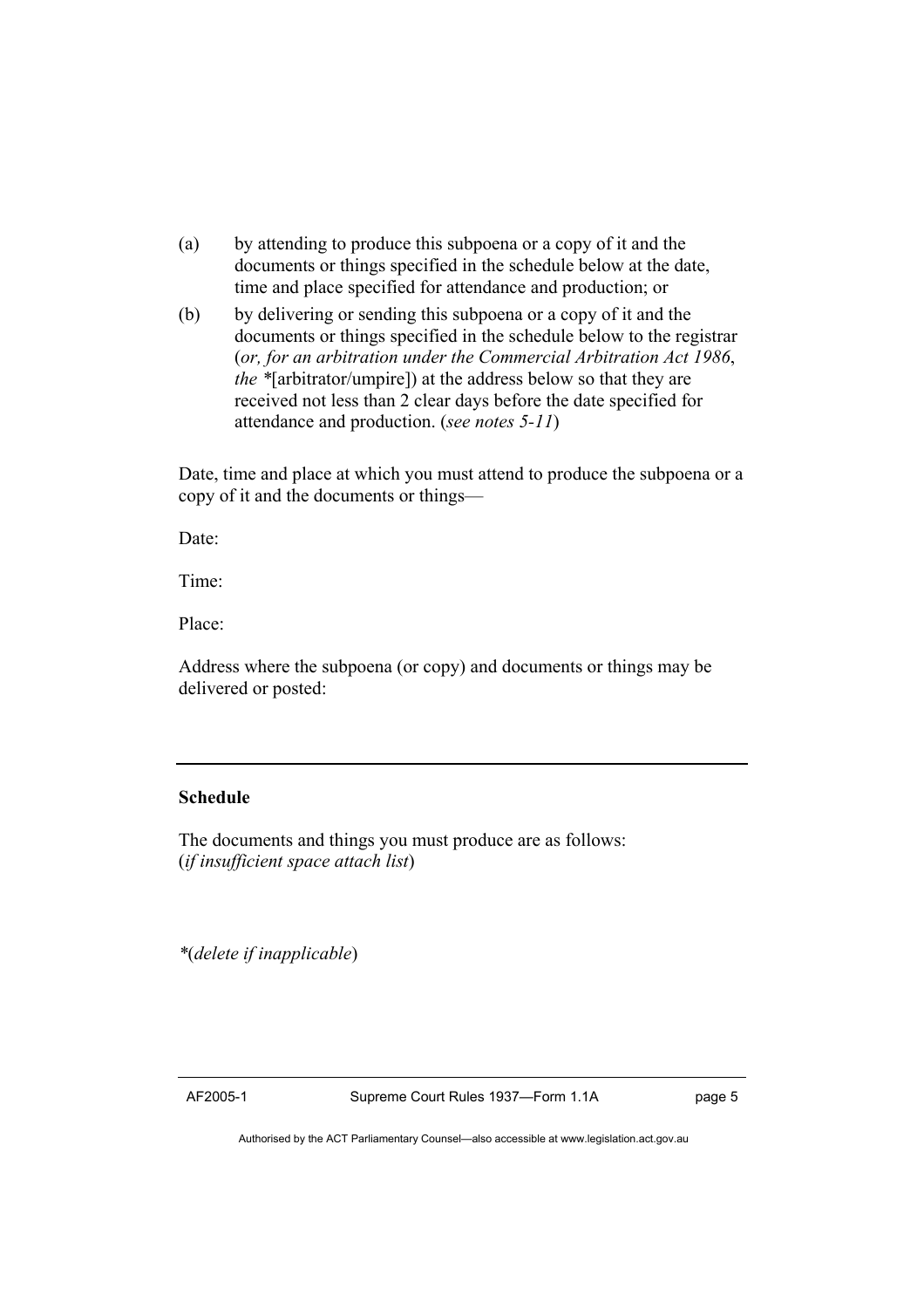- (a) by attending to produce this subpoena or a copy of it and the documents or things specified in the schedule below at the date, time and place specified for attendance and production; or
- (b) by delivering or sending this subpoena or a copy of it and the documents or things specified in the schedule below to the registrar (*or, for an arbitration under the Commercial Arbitration Act 1986*, *the \**[arbitrator/umpire]) at the address below so that they are received not less than 2 clear days before the date specified for attendance and production. (*see notes 5-11*)

Date, time and place at which you must attend to produce the subpoena or a copy of it and the documents or things—

Date:

Time:

Place:

Address where the subpoena (or copy) and documents or things may be delivered or posted:

#### **Schedule**

The documents and things you must produce are as follows: (*if insufficient space attach list*)

*\**(*delete if inapplicable*)

AF2005-1 Supreme Court Rules 1937—Form 1.1A page 5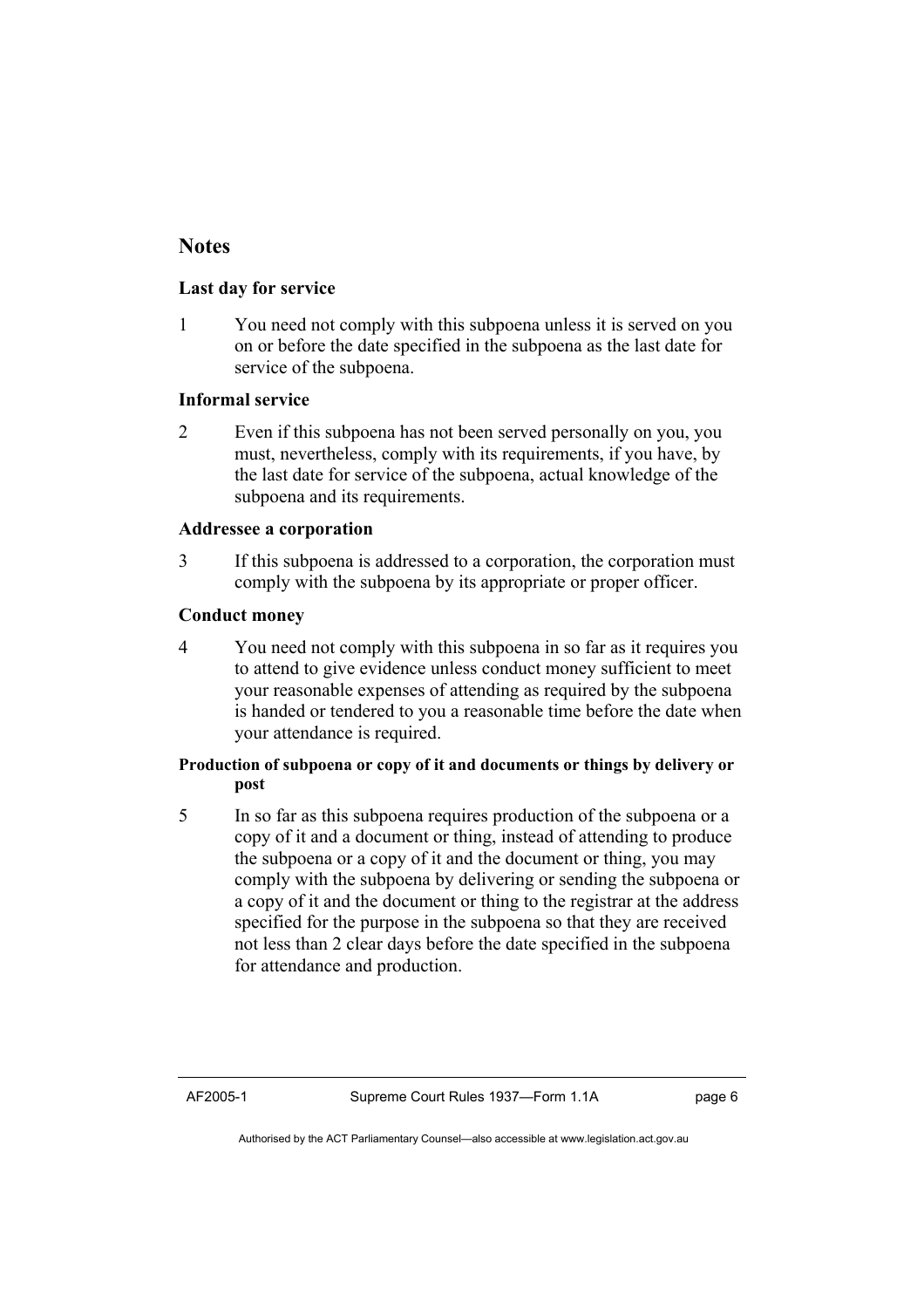# **Notes**

#### **Last day for service**

1 You need not comply with this subpoena unless it is served on you on or before the date specified in the subpoena as the last date for service of the subpoena.

#### **Informal service**

2 Even if this subpoena has not been served personally on you, you must, nevertheless, comply with its requirements, if you have, by the last date for service of the subpoena, actual knowledge of the subpoena and its requirements.

#### **Addressee a corporation**

3 If this subpoena is addressed to a corporation, the corporation must comply with the subpoena by its appropriate or proper officer.

#### **Conduct money**

4 You need not comply with this subpoena in so far as it requires you to attend to give evidence unless conduct money sufficient to meet your reasonable expenses of attending as required by the subpoena is handed or tendered to you a reasonable time before the date when your attendance is required.

#### **Production of subpoena or copy of it and documents or things by delivery or post**

5 In so far as this subpoena requires production of the subpoena or a copy of it and a document or thing, instead of attending to produce the subpoena or a copy of it and the document or thing, you may comply with the subpoena by delivering or sending the subpoena or a copy of it and the document or thing to the registrar at the address specified for the purpose in the subpoena so that they are received not less than 2 clear days before the date specified in the subpoena for attendance and production.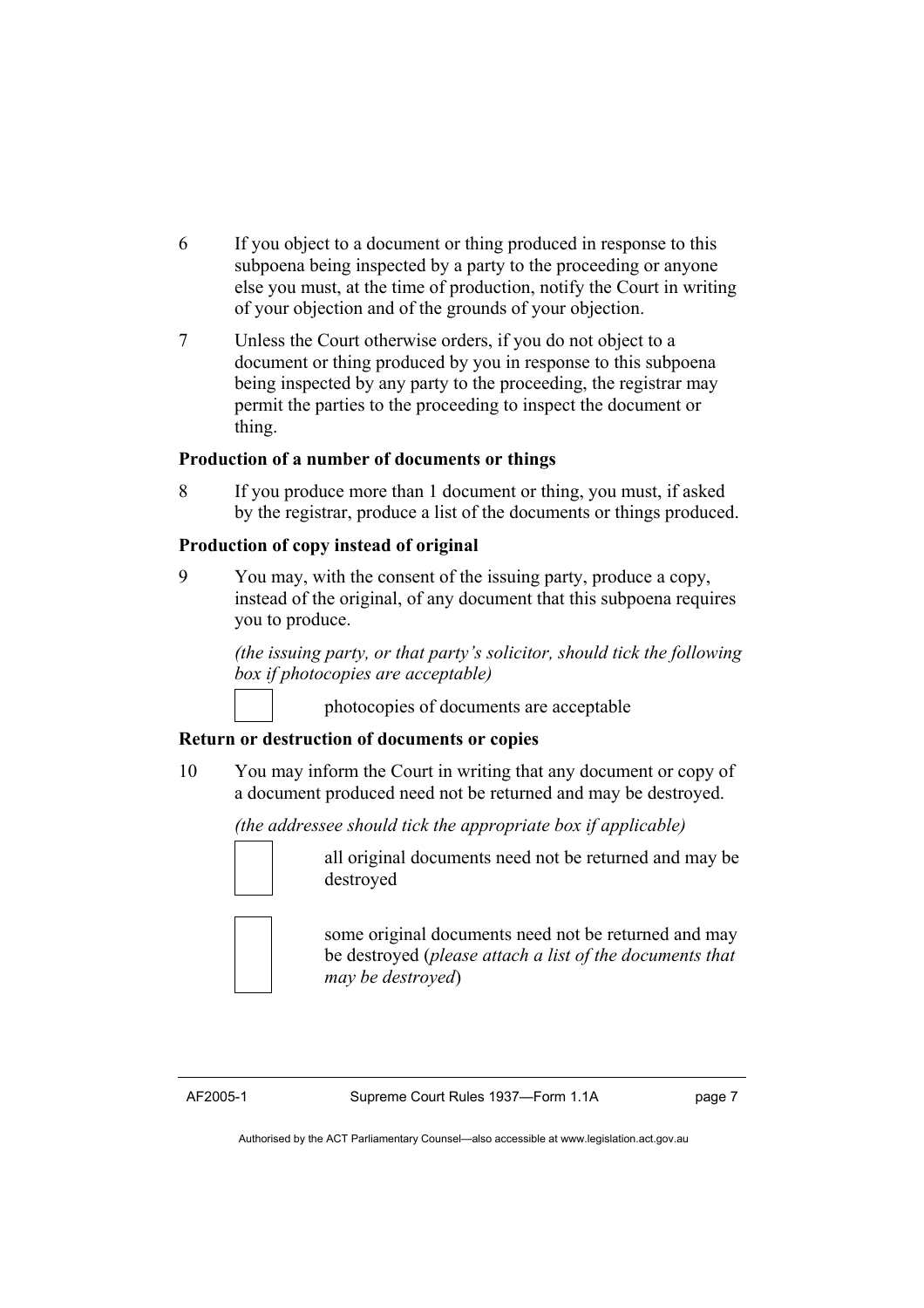- 6 If you object to a document or thing produced in response to this subpoena being inspected by a party to the proceeding or anyone else you must, at the time of production, notify the Court in writing of your objection and of the grounds of your objection.
- 7 Unless the Court otherwise orders, if you do not object to a document or thing produced by you in response to this subpoena being inspected by any party to the proceeding, the registrar may permit the parties to the proceeding to inspect the document or thing.

#### **Production of a number of documents or things**

8 If you produce more than 1 document or thing, you must, if asked by the registrar, produce a list of the documents or things produced.

#### **Production of copy instead of original**

9 You may, with the consent of the issuing party, produce a copy, instead of the original, of any document that this subpoena requires you to produce.

> *(the issuing party, or that party's solicitor, should tick the following box if photocopies are acceptable)*

> > photocopies of documents are acceptable

# **Return or destruction of documents or copies**

10 You may inform the Court in writing that any document or copy of a document produced need not be returned and may be destroyed.

 *(the addressee should tick the appropriate box if applicable)*



 all original documents need not be returned and may be destroyed



 some original documents need not be returned and may be destroyed (*please attach a list of the documents that may be destroyed*)

AF2005-1 Supreme Court Rules 1937—Form 1.1A page 7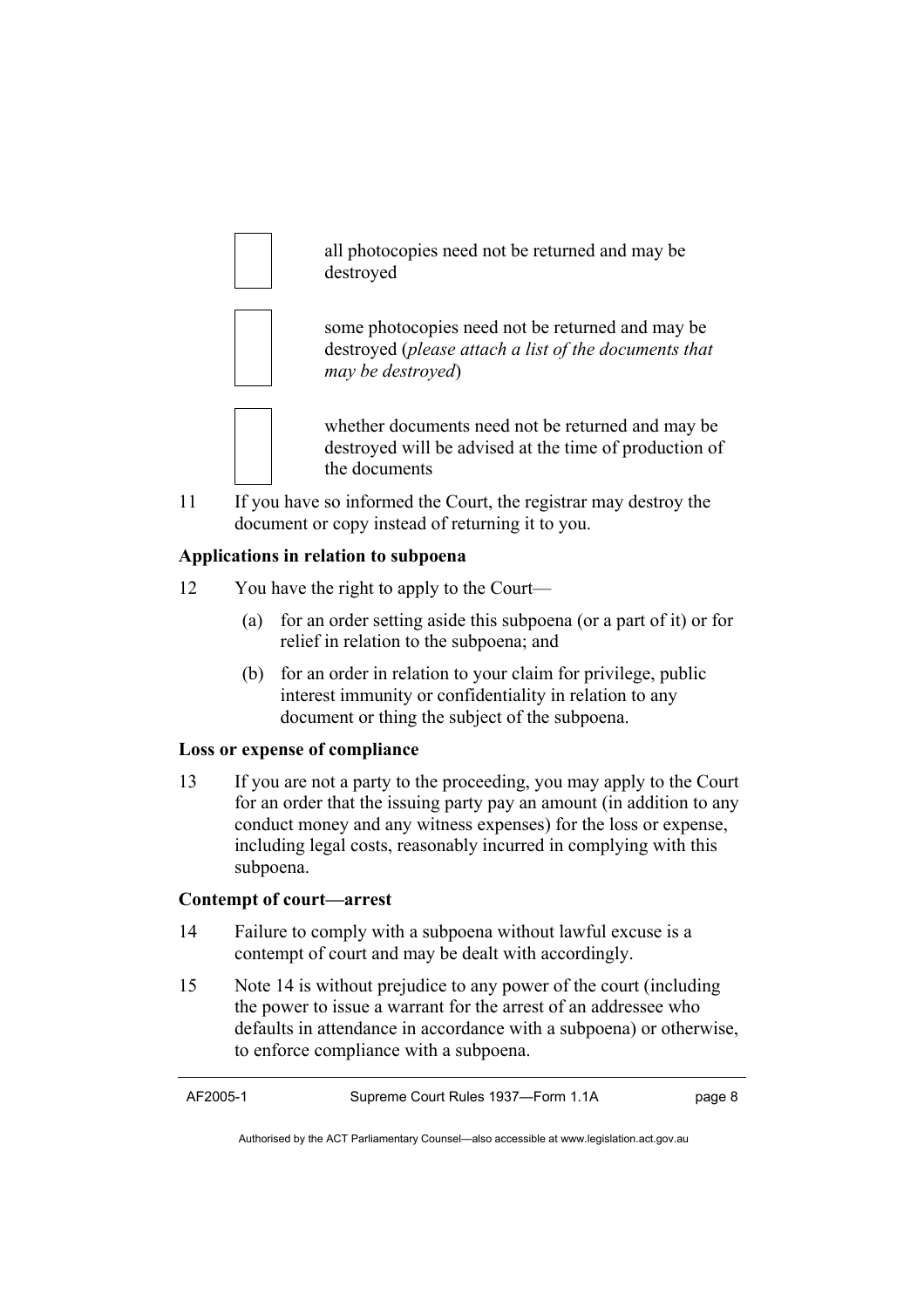all photocopies need not be returned and may be destroyed



 some photocopies need not be returned and may be destroyed (*please attach a list of the documents that may be destroyed*)



 whether documents need not be returned and may be destroyed will be advised at the time of production of the documents

11 If you have so informed the Court, the registrar may destroy the document or copy instead of returning it to you.

# **Applications in relation to subpoena**

- 12 You have the right to apply to the Court—
	- (a) for an order setting aside this subpoena (or a part of it) or for relief in relation to the subpoena; and
	- (b) for an order in relation to your claim for privilege, public interest immunity or confidentiality in relation to any document or thing the subject of the subpoena.

# **Loss or expense of compliance**

13 If you are not a party to the proceeding, you may apply to the Court for an order that the issuing party pay an amount (in addition to any conduct money and any witness expenses) for the loss or expense, including legal costs, reasonably incurred in complying with this subpoena.

# **Contempt of court—arrest**

- 14 Failure to comply with a subpoena without lawful excuse is a contempt of court and may be dealt with accordingly.
- 15 Note 14 is without prejudice to any power of the court (including the power to issue a warrant for the arrest of an addressee who defaults in attendance in accordance with a subpoena) or otherwise, to enforce compliance with a subpoena.